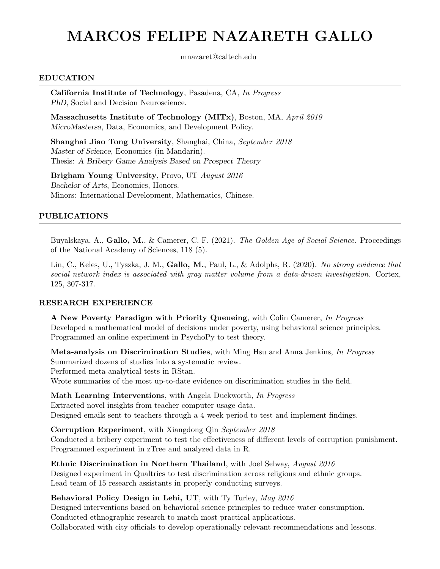# MARCOS FELIPE NAZARETH GALLO

mnazaret@caltech.edu

#### EDUCATION

California Institute of Technology, Pasadena, CA, In Progress PhD, Social and Decision Neuroscience.

Massachusetts Institute of Technology (MITx), Boston, MA, April 2019 MicroMastersa, Data, Economics, and Development Policy.

Shanghai Jiao Tong University, Shanghai, China, September 2018 Master of Science, Economics (in Mandarin). Thesis: A Bribery Game Analysis Based on Prospect Theory

Brigham Young University, Provo, UT August 2016 Bachelor of Arts, Economics, Honors. Minors: International Development, Mathematics, Chinese.

#### PUBLICATIONS

Buyalskaya, A., Gallo, M., & Camerer, C. F. (2021). The Golden Age of Social Science. Proceedings of the National Academy of Sciences, 118 (5).

Lin, C., Keles, U., Tyszka, J. M., Gallo, M., Paul, L., & Adolphs, R. (2020). No strong evidence that social network index is associated with gray matter volume from a data-driven investigation. Cortex, 125, 307-317.

#### RESEARCH EXPERIENCE

A New Poverty Paradigm with Priority Queueing, with Colin Camerer, In Progress Developed a mathematical model of decisions under poverty, using behavioral science principles. Programmed an online experiment in PsychoPy to test theory.

Meta-analysis on Discrimination Studies, with Ming Hsu and Anna Jenkins, In Progress Summarized dozens of studies into a systematic review.

Performed meta-analytical tests in RStan.

Wrote summaries of the most up-to-date evidence on discrimination studies in the field.

Math Learning Interventions, with Angela Duckworth, In Progress Extracted novel insights from teacher computer usage data. Designed emails sent to teachers through a 4-week period to test and implement findings.

Corruption Experiment, with Xiangdong Qin September 2018 Conducted a bribery experiment to test the effectiveness of different levels of corruption punishment. Programmed experiment in zTree and analyzed data in R.

Ethnic Discrimination in Northern Thailand, with Joel Selway, August 2016 Designed experiment in Qualtrics to test discrimination across religious and ethnic groups. Lead team of 15 research assistants in properly conducting surveys.

#### Behavioral Policy Design in Lehi, UT, with Ty Turley, May 2016

Designed interventions based on behavioral science principles to reduce water consumption. Conducted ethnographic research to match most practical applications. Collaborated with city officials to develop operationally relevant recommendations and lessons.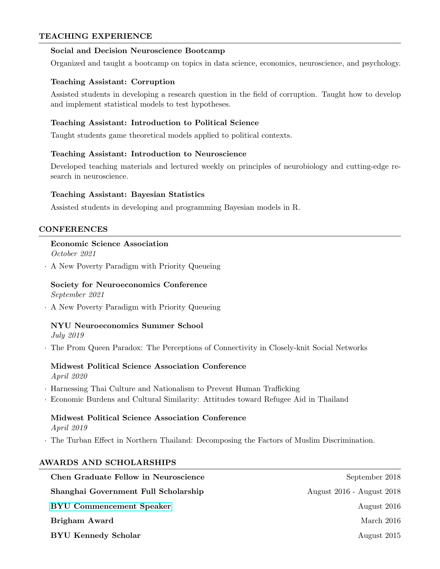#### TEACHING EXPERIENCE

#### Social and Decision Neuroscience Bootcamp

Organized and taught a bootcamp on topics in data science, economics, neuroscience, and psychology.

#### Teaching Assistant: Corruption

Assisted students in developing a research question in the field of corruption. Taught how to develop and implement statistical models to test hypotheses.

# Teaching Assistant: Introduction to Political Science

Taught students game theoretical models applied to political contexts.

#### Teaching Assistant: Introduction to Neuroscience

Developed teaching materials and lectured weekly on principles of neurobiology and cutting-edge research in neuroscience.

#### Teaching Assistant: Bayesian Statistics

Assisted students in developing and programming Bayesian models in R.

# CONFERENCES

# Economic Science Association

October 2021

· A New Poverty Paradigm with Priority Queueing

# Society for Neuroeconomics Conference

September 2021

· A New Poverty Paradigm with Priority Queueing

# NYU Neuroeconomics Summer School

July 2019

· The Prom Queen Paradox: The Perceptions of Connectivity in Closely-knit Social Networks

# Midwest Political Science Association Conference

April 2020

- · Harnessing Thai Culture and Nationalism to Prevent Human Trafficking
- · Economic Burdens and Cultural Similarity: Attitudes toward Refugee Aid in Thailand

# Midwest Political Science Association Conference April 2019

· The Turban Effect in Northern Thailand: Decomposing the Factors of Muslim Discrimination.

# AWARDS AND SCHOLARSHIPS

| <b>Chen Graduate Fellow in Neuroscience</b> | September 2018            |
|---------------------------------------------|---------------------------|
| Shanghai Government Full Scholarship        | August 2016 - August 2018 |
| <b>BYU Commencement Speaker</b>             | August 2016               |
| Brigham Award                               | March 2016                |
| <b>BYU Kennedy Scholar</b>                  | August 2015               |